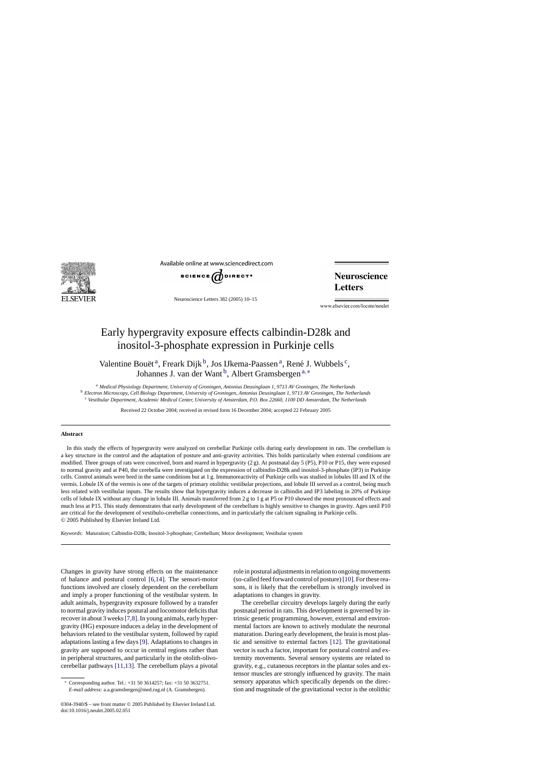

Available online at www.sciencedirect.com



Neuroscience Letters 382 (2005) 10–15

**Neuroscience Letters** 

www.elsevier.com/locate/neulet

# Early hypergravity exposure effects calbindin-D28k and inositol-3-phosphate expression in Purkinje cells

Valentine Bouët<sup>a</sup>, Freark Dijk<sup>b</sup>, Jos IJkema-Paassen<sup>a</sup>, René J. Wubbels<sup>c</sup>, Johannes J. van der Want<sup>b</sup>, Albert Gramsbergen<sup>a,∗</sup>

<sup>a</sup> *Medical Physiology Department, University of Groningen, Antonius Deusinglaan 1, 9713 AV Groningen, The Netherlands* <sup>b</sup> *Electron Microscopy, Cell Biology Department, University of Groningen, Antonius Deusinglaan 1, 9713 AV Groningen, The Netherlands* <sup>c</sup> *Vestibular Department, Academic Medical Center, University of Amsterdam, P.O. Box 22660, 1100 DD Amsterdam, The Netherlands*

Received 22 October 2004; received in revised form 16 December 2004; accepted 22 February 2005

#### **Abstract**

In this study the effects of hypergravity were analyzed on cerebellar Purkinje cells during early development in rats. The cerebellum is a key structure in the control and the adaptation of posture and anti-gravity activities. This holds particularly when external conditions are modified. Three groups of rats were conceived, born and reared in hypergravity (2 g). At postnatal day 5 (P5), P10 or P15, they were exposed to normal gravity and at P40, the cerebella were investigated on the expression of calbindin-D28k and inositol-3-phosphate (IP3) in Purkinje cells. Control animals were bred in the same conditions but at 1 g. Immunoreactivity of Purkinje cells was studied in lobules III and IX of the vermis. Lobule IX of the vermis is one of the targets of primary otolithic vestibular projections, and lobule III served as a control, being much less related with vestibular inputs. The results show that hypergravity induces a decrease in calbindin and IP3 labeling in 20% of Purkinje cells of lobule IX without any change in lobule III. Animals transferred from 2 g to 1 g at P5 or P10 showed the most pronounced effects and much less at P15. This study demonstrates that early development of the cerebellum is highly sensitive to changes in gravity. Ages until P10 are critical for the development of vestibulo-cerebellar connections, and in particularly the calcium signaling in Purkinje cells. © 2005 Published by Elsevier Ireland Ltd.

*Keywords:* Maturation; Calbindin-D28k; Inositol-3-phosphate; Cerebellum; Motor development; Vestibular system

Changes in gravity have strong effects on the maintenance of balance and postural control [\[6,14\].](#page-5-0) The sensori-motor functions involved are closely dependent on the cerebellum and imply a proper functioning of the vestibular system. In adult animals, hypergravity exposure followed by a transfer to normal gravity induces postural and locomotor deficits that recover in about 3 weeks[\[7,8\]. I](#page-5-0)n young animals, early hypergravity (HG) exposure induces a delay in the development of behaviors related to the vestibular system, followed by rapid adaptations lasting a few days [\[9\]. A](#page-5-0)daptations to changes in gravity are supposed to occur in central regions rather than in peripheral structures, and particularly in the otolith-olivocerebellar pathways [\[11,13\]. T](#page-5-0)he cerebellum plays a pivotal role in postural adjustments in relation to ongoing movements (so-called feed forward control of posture)[\[10\]. F](#page-5-0)or these reasons, it is likely that the cerebellum is strongly involved in adaptations to changes in gravity.

The cerebellar circuitry develops largely during the early postnatal period in rats. This development is governed by intrinsic genetic programming, however, external and environmental factors are known to actively modulate the neuronal maturation. During early development, the brain is most plastic and sensitive to external factors [\[12\].](#page-5-0) The gravitational vector is such a factor, important for postural control and extremity movements. Several sensory systems are related to gravity, e.g., cutaneous receptors in the plantar soles and extensor muscles are strongly influenced by gravity. The main sensory apparatus which specifically depends on the direction and magnitude of the gravitational vector is the otolithic

<sup>∗</sup> Corresponding author. Tel.: +31 50 3614257; fax: +31 50 3632751. *E-mail address:* a.a.gramsbergen@med.rug.nl (A. Gramsbergen).

<sup>0304-3940/\$ –</sup> see front matter © 2005 Published by Elsevier Ireland Ltd. doi:10.1016/j.neulet.2005.02.051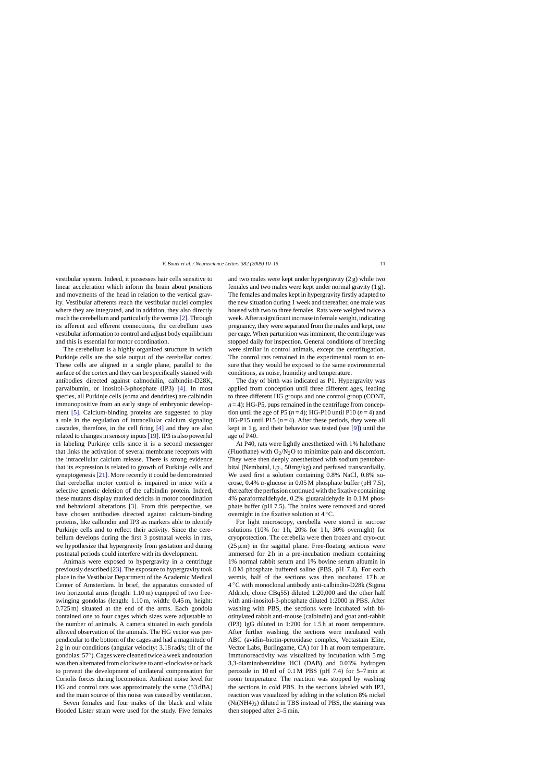vestibular system. Indeed, it possesses hair cells sensitive to linear acceleration which inform the brain about positions and movements of the head in relation to the vertical gravity. Vestibular afferents reach the vestibular nuclei complex where they are integrated, and in addition, they also directly reach the cerebellum and particularly the vermis[\[2\]. T](#page-5-0)hrough its afferent and efferent connections, the cerebellum uses vestibular information to control and adjust body equilibrium and this is essential for motor coordination.

The cerebellum is a highly organized structure in which Purkinje cells are the sole output of the cerebellar cortex. These cells are aligned in a single plane, parallel to the surface of the cortex and they can be specifically stained with antibodies directed against calmodulin, calbindin-D28K, parvalbumin, or inositol-3-phosphate (IP3) [\[4\].](#page-5-0) In most species, all Purkinje cells (soma and dendrites) are calbindin immunopositive from an early stage of embryonic development [\[5\].](#page-5-0) Calcium-binding proteins are suggested to play a role in the regulation of intracellular calcium signaling cascades, therefore, in the cell firing [\[4\]](#page-5-0) and they are also related to changes in sensory inputs[\[19\]. I](#page-5-0)P3 is also powerful in labeling Purkinje cells since it is a second messenger that links the activation of several membrane receptors with the intracellular calcium release. There is strong evidence that its expression is related to growth of Purkinje cells and synaptogenesis [\[21\]. M](#page-5-0)ore recently it could be demonstrated that cerebellar motor control is impaired in mice with a selective genetic deletion of the calbindin protein. Indeed, these mutants display marked deficits in motor coordination and behavioral alterations [\[3\].](#page-5-0) From this perspective, we have chosen antibodies directed against calcium-binding proteins, like calbindin and IP3 as markers able to identify Purkinje cells and to reflect their activity. Since the cerebellum develops during the first 3 postnatal weeks in rats, we hypothesize that hypergravity from gestation and during postnatal periods could interfere with its development.

Animals were exposed to hypergravity in a centrifuge previously described [\[23\]. T](#page-5-0)he exposure to hypergravity took place in the Vestibular Department of the Academic Medical Center of Amsterdam. In brief, the apparatus consisted of two horizontal arms (length: 1.10 m) equipped of two freeswinging gondolas (length: 1.10 m, width: 0.45 m, height: 0.725 m) situated at the end of the arms. Each gondola contained one to four cages which sizes were adjustable to the number of animals. A camera situated in each gondola allowed observation of the animals. The HG vector was perpendicular to the bottom of the cages and had a magnitude of 2 g in our conditions (angular velocity: 3.18 rad/s; tilt of the gondolas: 57◦). Cages were cleaned twice a week and rotation was then alternated from clockwise to anti-clockwise or back to prevent the development of unilateral compensation for Coriolis forces during locomotion. Ambient noise level for HG and control rats was approximately the same (53 dBA) and the main source of this noise was caused by ventilation.

Seven females and four males of the black and white Hooded Lister strain were used for the study. Five females and two males were kept under hypergravity (2 g) while two females and two males were kept under normal gravity (1 g). The females and males kept in hypergravity firstly adapted to the new situation during 1 week and thereafter, one male was housed with two to three females. Rats were weighed twice a week. After a significant increase in female weight, indicating pregnancy, they were separated from the males and kept, one per cage. When parturition was imminent, the centrifuge was stopped daily for inspection. General conditions of breeding were similar in control animals, except the centrifugation. The control rats remained in the experimental room to ensure that they would be exposed to the same environmental conditions, as noise, humidity and temperature.

The day of birth was indicated as P1. Hypergravity was applied from conception until three different ages, leading to three different HG groups and one control group (CONT,  $n = 4$ ): HG-P5, pups remained in the centrifuge from conception until the age of P5  $(n=4)$ ; HG-P10 until P10  $(n=4)$  and HG-P15 until P15  $(n=4)$ . After these periods, they were all kept in 1 g, and their behavior was tested (see [\[9\]\)](#page-5-0) until the age of P40.

At P40, rats were lightly anesthetized with 1% halothane (Fluothane) with  $O_2/N_2O$  to minimize pain and discomfort. They were then deeply anesthetized with sodium pentobarbital (Nembutal, i.p., 50 mg/kg) and perfused transcardially. We used first a solution containing 0.8% NaCl, 0.8% sucrose,  $0.4\%$  p-glucose in  $0.05$  M phosphate buffer (pH 7.5), thereafter the perfusion continued with the fixative containing 4% paraformaldehyde, 0.2% glutaraldehyde in 0.1 M phosphate buffer (pH 7.5). The brains were removed and stored overnight in the fixative solution at 4 ◦C.

For light microscopy, cerebella were stored in sucrose solutions (10% for 1 h, 20% for 1 h, 30% overnight) for cryoprotection. The cerebella were then frozen and cryo-cut ( $25 \mu m$ ) in the sagittal plane. Free-floating sections were immersed for 2h in a pre-incubation medium containing 1% normal rabbit serum and 1% bovine serum albumin in 1.0 M phosphate buffered saline (PBS, pH 7.4). For each vermis, half of the sections was then incubated 17 h at 4 ◦C with monoclonal antibody anti-calbindin-D28k (Sigma Aldrich, clone CBq55) diluted 1:20,000 and the other half with anti-inositol-3-phosphate diluted 1:2000 in PBS. After washing with PBS, the sections were incubated with biotinylated rabbit anti-mouse (calbindin) and goat anti-rabbit (IP3) IgG diluted in 1:200 for 1.5 h at room temperature. After further washing, the sections were incubated with ABC (avidin–biotin-peroxidase complex, Vectastain Elite, Vector Labs, Burlingame, CA) for 1 h at room temperature. Immunoreactivity was visualized by incubation with 5 mg 3,3-diaminobenzidine HCl (DAB) and 0.03% hydrogen peroxide in 10 ml of 0.1 M PBS (pH 7.4) for 5–7 min at room temperature. The reaction was stopped by washing the sections in cold PBS. In the sections labeled with IP3, reaction was visualized by adding in the solution 8% nickel  $(Ni(NH4)<sub>3</sub>)$  diluted in TBS instead of PBS, the staining was then stopped after 2–5 min.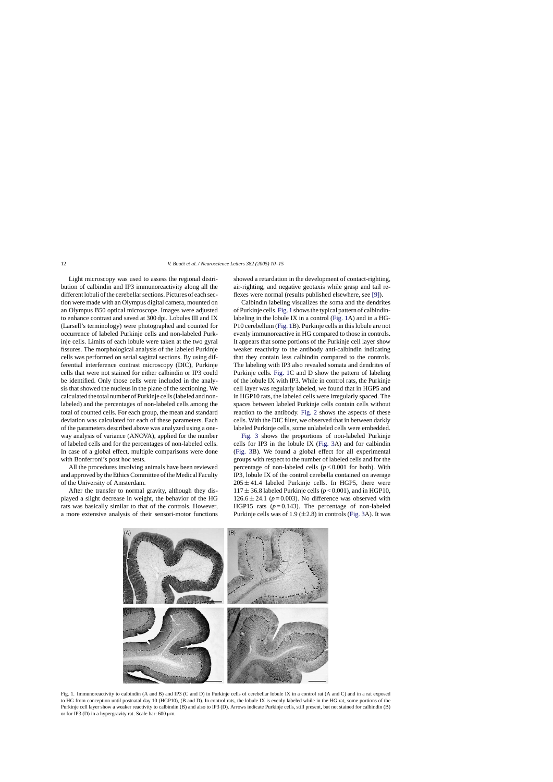Light microscopy was used to assess the regional distribution of calbindin and IP3 immunoreactivity along all the different lobuli of the cerebellar sections. Pictures of each section were made with an Olympus digital camera, mounted on an Olympus B50 optical microscope. Images were adjusted to enhance contrast and saved at 300 dpi. Lobules III and IX (Larsell's terminology) were photographed and counted for occurrence of labeled Purkinje cells and non-labeled Purkinje cells. Limits of each lobule were taken at the two gyral fissures. The morphological analysis of the labeled Purkinje cells was performed on serial sagittal sections. By using differential interference contrast microscopy (DIC), Purkinje cells that were not stained for either calbindin or IP3 could be identified. Only those cells were included in the analysis that showed the nucleus in the plane of the sectioning. We calculated the total number of Purkinje cells (labeled and nonlabeled) and the percentages of non-labeled cells among the total of counted cells. For each group, the mean and standard deviation was calculated for each of these parameters. Each of the parameters described above was analyzed using a oneway analysis of variance (ANOVA), applied for the number of labeled cells and for the percentages of non-labeled cells. In case of a global effect, multiple comparisons were done with Bonferroni's post hoc tests.

All the procedures involving animals have been reviewed and approved by the Ethics Committee of the Medical Faculty of the University of Amsterdam.

After the transfer to normal gravity, although they displayed a slight decrease in weight, the behavior of the HG rats was basically similar to that of the controls. However, a more extensive analysis of their sensori-motor functions showed a retardation in the development of contact-righting, air-righting, and negative geotaxis while grasp and tail reflexes were normal (results published elsewhere, see [\[9\]\).](#page-5-0)

Calbindin labeling visualizes the soma and the dendrites of Purkinje cells. Fig. 1 shows the typical pattern of calbindinlabeling in the lobule IX in a control (Fig. 1A) and in a HG-P10 cerebellum (Fig. 1B). Purkinje cells in this lobule are not evenly immunoreactive in HG compared to those in controls. It appears that some portions of the Purkinje cell layer show weaker reactivity to the antibody anti-calbindin indicating that they contain less calbindin compared to the controls. The labeling with IP3 also revealed somata and dendrites of Purkinje cells. Fig. 1C and D show the pattern of labeling of the lobule IX with IP3. While in control rats, the Purkinje cell layer was regularly labeled, we found that in HGP5 and in HGP10 rats, the labeled cells were irregularly spaced. The spaces between labeled Purkinje cells contain cells without reaction to the antibody. [Fig. 2](#page-3-0) shows the aspects of these cells. With the DIC filter, we observed that in between darkly labeled Purkinje cells, some unlabeled cells were embedded.

[Fig. 3](#page-3-0) shows the proportions of non-labeled Purkinje cells for IP3 in the lobule IX [\(Fig. 3A](#page-3-0)) and for calbindin [\(Fig. 3B](#page-3-0)). We found a global effect for all experimental groups with respect to the number of labeled cells and for the percentage of non-labeled cells  $(p<0.001$  for both). With IP3, lobule IX of the control cerebella contained on average  $205 \pm 41.4$  labeled Purkinje cells. In HGP5, there were  $117 \pm 36.8$  labeled Purkinje cells ( $p < 0.001$ ), and in HGP10,  $126.6 \pm 24.1$  ( $p = 0.003$ ). No difference was observed with HGP15 rats  $(p=0.143)$ . The percentage of non-labeled Purkinje cells was of 1.9  $(\pm 2.8)$  in controls ([Fig. 3A](#page-3-0)). It was



Fig. 1. Immunoreactivity to calbindin (A and B) and IP3 (C and D) in Purkinje cells of cerebellar lobule IX in a control rat (A and C) and in a rat exposed to HG from conception until postnatal day 10 (HGP10), (B and D). In control rats, the lobule IX is evenly labeled while in the HG rat, some portions of the Purkinje cell layer show a weaker reactivity to calbindin (B) and also to IP3 (D). Arrows indicate Purkinje cells, still present, but not stained for calbindin (B) or for IP3 (D) in a hypergravity rat. Scale bar:  $600 \mu m$ .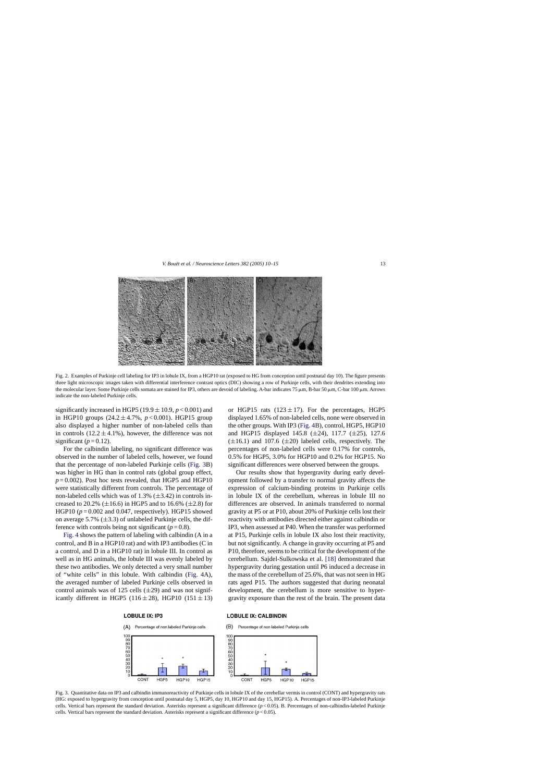<span id="page-3-0"></span>

Fig. 2. Examples of Purkinje cell labeling for IP3 in lobule IX, from a HGP10 rat (exposed to HG from conception until postnatal day 10). The figure presents three light microscopic images taken with differential interference contrast optics (DIC) showing a row of Purkinje cells, with their dendrites extending into the molecular layer. Some Purkinje cells somata are stained for IP3, others are devoid of labeling. A-bar indicates 75  $\mu$ m, B-bar 50  $\mu$ m, C-bar 100  $\mu$ m. Arrows indicate the non-labeled Purkinje cells.

significantly increased in HGP5 (19.9  $\pm$  10.9, *p* < 0.001) and in HGP10 groups  $(24.2 \pm 4.7\% , p < 0.001)$ . HGP15 group also displayed a higher number of non-labeled cells than in controls  $(12.2 \pm 4.1\%)$ , however, the difference was not significant  $(p=0.12)$ .

For the calbindin labeling, no significant difference was observed in the number of labeled cells, however, we found that the percentage of non-labeled Purkinje cells (Fig. 3B) was higher in HG than in control rats (global group effect,  $p = 0.002$ ). Post hoc tests revealed, that HGP5 and HGP10 were statistically different from controls. The percentage of non-labeled cells which was of  $1.3\%$  ( $\pm 3.42$ ) in controls increased to 20.2%  $(\pm 16.6)$  in HGP5 and to 16.6%  $(\pm 2.8)$  for HGP10 ( $p = 0.002$  and 0.047, respectively). HGP15 showed on average 5.7%  $(\pm 3.3)$  of unlabeled Purkinje cells, the difference with controls being not significant  $(p=0.8)$ .

[Fig. 4](#page-4-0) shows the pattern of labeling with calbindin (A in a control, and B in a HGP10 rat) and with IP3 antibodies (C in a control, and D in a HGP10 rat) in lobule III. In control as well as in HG animals, the lobule III was evenly labeled by these two antibodies. We only detected a very small number of "white cells" in this lobule. With calbindin ([Fig. 4A](#page-4-0)), the averaged number of labeled Purkinje cells observed in control animals was of 125 cells  $(\pm 29)$  and was not significantly different in HGP5 (116 $\pm$ 28), HGP10 (151 $\pm$ 13)

#### **LOBULE IX: IP3**



or HGP15 rats  $(123 \pm 17)$ . For the percentages, HGP5 displayed 1.65% of non-labeled cells, none were observed in the other groups. With IP3 [\(Fig. 4B](#page-4-0)), control, HGP5, HGP10 and HGP15 displayed 145.8 (±24), 117.7 (±25), 127.6  $(\pm 16.1)$  and 107.6  $(\pm 20)$  labeled cells, respectively. The percentages of non-labeled cells were 0.17% for controls, 0.5% for HGP5, 3.0% for HGP10 and 0.2% for HGP15. No significant differences were observed between the groups.

Our results show that hypergravity during early development followed by a transfer to normal gravity affects the expression of calcium-binding proteins in Purkinje cells in lobule IX of the cerebellum, whereas in lobule III no differences are observed. In animals transferred to normal gravity at P5 or at P10, about 20% of Purkinje cells lost their reactivity with antibodies directed either against calbindin or IP3, when assessed at P40. When the transfer was performed at P15, Purkinje cells in lobule IX also lost their reactivity, but not significantly. A change in gravity occurring at P5 and P10, therefore, seems to be critical for the development of the cerebellum. Sajdel-Sulkowska et al. [\[18\]](#page-5-0) demonstrated that hypergravity during gestation until P6 induced a decrease in the mass of the cerebellum of 25.6%, that was not seen in HG rats aged P15. The authors suggested that during neonatal development, the cerebellum is more sensitive to hypergravity exposure than the rest of the brain. The present data

### **LOBULE IX: CALBINDIN**

 $(B)$ Percentage of non labeled Purkinje cells



Fig. 3. Quantitative data on IP3 and calbindin immunoreactivity of Purkinje cells in lobule IX of the cerebellar vermis in control (CONT) and hypergravity rats (HG: exposed to hypergravity from conception until postnatal day 5, HGP5, day 10, HGP10 and day 15, HGP15). A. Percentages of non-IP3-labeled Purkinje cells. Vertical bars represent the standard deviation. Asterisks represent a significant difference (*p* < 0.05). B. Percentages of non-calbindin-labeled Purkinje cells. Vertical bars represent the standard deviation. Asterisks represent a significant difference (*p* < 0.05).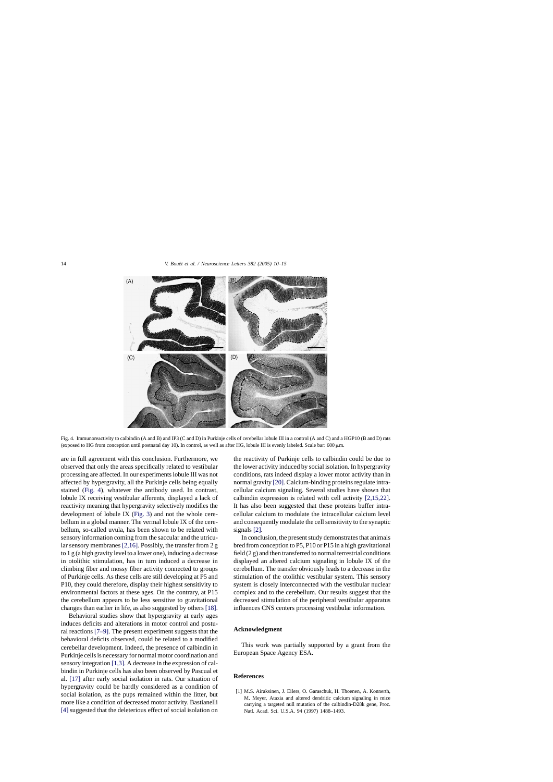<span id="page-4-0"></span>

Fig. 4. Immunoreactivity to calbindin (A and B) and IP3 (C and D) in Purkinje cells of cerebellar lobule III in a control (A and C) and a HGP10 (B and D) rats (exposed to HG from conception until postnatal day 10). In control, as well as after HG, lobule III is evenly labeled. Scale bar: 600 µm.

are in full agreement with this conclusion. Furthermore, we observed that only the areas specifically related to vestibular processing are affected. In our experiments lobule III was not affected by hypergravity, all the Purkinje cells being equally stained (Fig. 4), whatever the antibody used. In contrast, lobule IX receiving vestibular afferents, displayed a lack of reactivity meaning that hypergravity selectively modifies the development of lobule IX [\(Fig. 3\)](#page-3-0) and not the whole cerebellum in a global manner. The vermal lobule IX of the cerebellum, so-called uvula, has been shown to be related with sensory information coming from the saccular and the utricular sensory membranes [\[2,16\]. P](#page-5-0)ossibly, the transfer from 2 g to 1 g (a high gravity level to a lower one), inducing a decrease in otolithic stimulation, has in turn induced a decrease in climbing fiber and mossy fiber activity connected to groups of Purkinje cells. As these cells are still developing at P5 and P10, they could therefore, display their highest sensitivity to environmental factors at these ages. On the contrary, at P15 the cerebellum appears to be less sensitive to gravitational changes than earlier in life, as also suggested by others [\[18\].](#page-5-0)

Behavioral studies show that hypergravity at early ages induces deficits and alterations in motor control and postural reactions [\[7–9\].](#page-5-0) The present experiment suggests that the behavioral deficits observed, could be related to a modified cerebellar development. Indeed, the presence of calbindin in Purkinje cells is necessary for normal motor coordination and sensory integration [1,3]. A decrease in the expression of calbindin in Purkinje cells has also been observed by Pascual et al. [\[17\]](#page-5-0) after early social isolation in rats. Our situation of hypergravity could be hardly considered as a condition of social isolation, as the pups remained within the litter, but more like a condition of decreased motor activity. Bastianelli [\[4\]](#page-5-0) suggested that the deleterious effect of social isolation on

the reactivity of Purkinje cells to calbindin could be due to the lower activity induced by social isolation. In hypergravity conditions, rats indeed display a lower motor activity than in normal gravity [\[20\]. C](#page-5-0)alcium-binding proteins regulate intracellular calcium signaling. Several studies have shown that calbindin expression is related with cell activity [\[2,15,22\].](#page-5-0) It has also been suggested that these proteins buffer intracellular calcium to modulate the intracellular calcium level and consequently modulate the cell sensitivity to the synaptic signals [\[2\].](#page-5-0)

In conclusion, the present study demonstrates that animals bred from conception to P5, P10 or P15 in a high gravitational field (2 g) and then transferred to normal terrestrial conditions displayed an altered calcium signaling in lobule IX of the cerebellum. The transfer obviously leads to a decrease in the stimulation of the otolithic vestibular system. This sensory system is closely interconnected with the vestibular nuclear complex and to the cerebellum. Our results suggest that the decreased stimulation of the peripheral vestibular apparatus influences CNS centers processing vestibular information.

## **Acknowledgment**

This work was partially supported by a grant from the European Space Agency ESA.

### **References**

[1] M.S. Airaksinen, J. Eilers, O. Garaschuk, H. Thoenen, A. Konnerth, M. Meyer, Ataxia and altered dendritic calcium signaling in mice carrying a targeted null mutation of the calbindin-D28k gene, Proc. Natl. Acad. Sci. U.S.A. 94 (1997) 1488–1493.